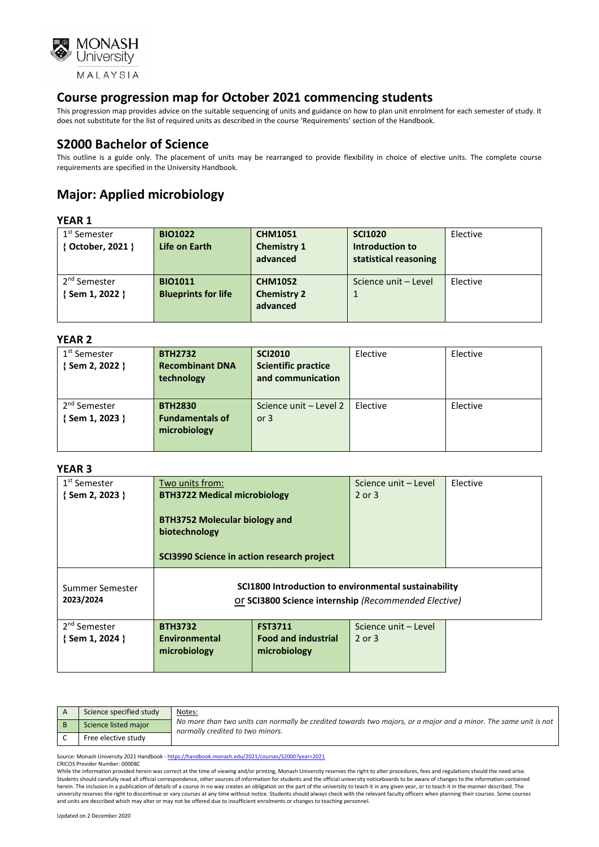

This progression map provides advice on the suitable sequencing of units and guidance on how to plan unit enrolment for each semester of study. It does not substitute for the list of required units as described in the course 'Requirements' section of the Handbook.

### **S2000 Bachelor of Science**

This outline is a guide only. The placement of units may be rearranged to provide flexibility in choice of elective units. The complete course requirements are specified in the University Handbook.

# **Major: Applied microbiology**

### **YEAR 1**

| .                        |                            |                    |                       |          |
|--------------------------|----------------------------|--------------------|-----------------------|----------|
| 1 <sup>st</sup> Semester | <b>BIO1022</b>             | <b>CHM1051</b>     | <b>SCI1020</b>        | Elective |
| { October, 2021 }        | Life on Earth              | <b>Chemistry 1</b> | Introduction to       |          |
|                          |                            | advanced           | statistical reasoning |          |
|                          |                            |                    |                       |          |
| 2 <sup>nd</sup> Semester | <b>BIO1011</b>             | <b>CHM1052</b>     | Science unit - Level  | Elective |
| {Sem 1, 2022 }           | <b>Blueprints for life</b> | <b>Chemistry 2</b> | 1                     |          |
|                          |                            | advanced           |                       |          |
|                          |                            |                    |                       |          |

#### **YEAR 2**

| 1 <sup>st</sup> Semester | <b>BTH2732</b>         | <b>SCI2010</b>             | Elective | Elective |
|--------------------------|------------------------|----------------------------|----------|----------|
| {Sem 2, 2022 }           | <b>Recombinant DNA</b> | <b>Scientific practice</b> |          |          |
|                          | technology             | and communication          |          |          |
|                          |                        |                            |          |          |
| 2 <sup>nd</sup> Semester | <b>BTH2830</b>         | Science unit - Level 2     | Elective | Elective |
| {Sem 1, 2023 }           | <b>Fundamentals of</b> | or $3$                     |          |          |
|                          | microbiology           |                            |          |          |
|                          |                        |                            |          |          |
|                          |                        |                            |          |          |

#### **YEAR 3**

| 1 <sup>st</sup> Semester<br>{Sem 2, 2023 } | Two units from:<br><b>BTH3722 Medical microbiology</b>                                                       |                                            | Science unit – Level<br>2 or 3 | Elective |
|--------------------------------------------|--------------------------------------------------------------------------------------------------------------|--------------------------------------------|--------------------------------|----------|
|                                            | <b>BTH3752 Molecular biology and</b><br>biotechnology<br>SCI3990 Science in action research project          |                                            |                                |          |
| Summer Semester<br>2023/2024               | SCI1800 Introduction to environmental sustainability<br>Or SCI3800 Science internship (Recommended Elective) |                                            |                                |          |
| 2 <sup>nd</sup> Semester                   | <b>BTH3732</b>                                                                                               | <b>FST3711</b>                             | Science unit - Level           |          |
| $\{$ Sem 1, 2024 $\}$                      | Environmental<br>microbiology                                                                                | <b>Food and industrial</b><br>microbiology | $2$ or $3$                     |          |
|                                            |                                                                                                              |                                            |                                |          |

| Science specified study | Notes:                                                                                                                                               |
|-------------------------|------------------------------------------------------------------------------------------------------------------------------------------------------|
| Science listed major    | No more than two units can normally be credited towards two majors, or a major and a minor. The same unit is not<br>normally credited to two minors. |
| Free elective study     |                                                                                                                                                      |

Source: Monash University 2021 Handbook - <https://handbook.monash.edu/2021/courses/S2000?year=2021>

CRICOS Provider Number: 00008C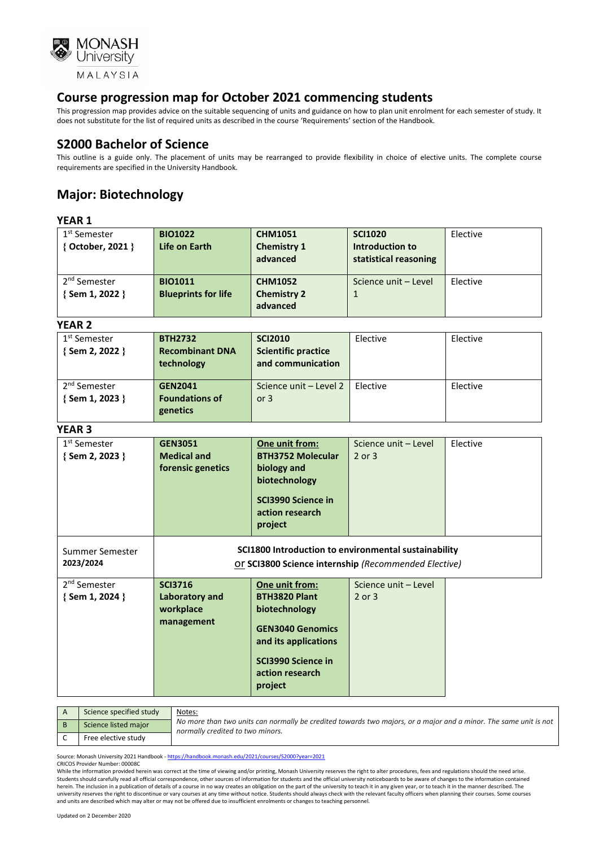

This progression map provides advice on the suitable sequencing of units and guidance on how to plan unit enrolment for each semester of study. It does not substitute for the list of required units as described in the course 'Requirements' section of the Handbook.

### **S2000 Bachelor of Science**

This outline is a guide only. The placement of units may be rearranged to provide flexibility in choice of elective units. The complete course requirements are specified in the University Handbook.

# **Major: Biotechnology**

#### **YEAR 1**

| 1 <sup>st</sup> Semester | <b>BIO1022</b>             | <b>CHM1051</b>     | <b>SCI1020</b>        | Elective |
|--------------------------|----------------------------|--------------------|-----------------------|----------|
| { October, 2021 }        | Life on Earth              | <b>Chemistry 1</b> | Introduction to       |          |
|                          |                            | advanced           | statistical reasoning |          |
|                          |                            |                    |                       |          |
| 2 <sup>nd</sup> Semester | <b>BIO1011</b>             | <b>CHM1052</b>     | Science unit - Level  | Elective |
| {Sem 1, 2022 }           | <b>Blueprints for life</b> | <b>Chemistry 2</b> |                       |          |
|                          |                            | advanced           |                       |          |
|                          |                            |                    |                       |          |

#### **YEAR 2**

| 1 <sup>st</sup> Semester<br>{Sem 2, 2022 } | <b>BTH2732</b><br><b>Recombinant DNA</b><br>technology | <b>SCI2010</b><br><b>Scientific practice</b><br>and communication | Elective | Elective |
|--------------------------------------------|--------------------------------------------------------|-------------------------------------------------------------------|----------|----------|
| 2 <sup>nd</sup> Semester<br>{Sem 1, 2023 } | <b>GEN2041</b><br><b>Foundations of</b><br>genetics    | Science unit - Level 2<br>or $3$                                  | Elective | Elective |

#### **YEAR 3**

| 1 <sup>st</sup> Semester<br>{Sem 2, 2023 } | <b>GEN3051</b><br><b>Medical and</b><br>forensic genetics   | One unit from:<br><b>BTH3752 Molecular</b><br>biology and<br>biotechnology<br><b>SCI3990 Science in</b><br>action research<br>project                          | Science unit - Level<br>2 or 3 | Elective |
|--------------------------------------------|-------------------------------------------------------------|----------------------------------------------------------------------------------------------------------------------------------------------------------------|--------------------------------|----------|
| Summer Semester<br>2023/2024               |                                                             | SCI1800 Introduction to environmental sustainability<br>Or SCI3800 Science internship (Recommended Elective)                                                   |                                |          |
| 2 <sup>nd</sup> Semester<br>{Sem 1, 2024 } | <b>SCI3716</b><br>Laboratory and<br>workplace<br>management | One unit from:<br><b>BTH3820 Plant</b><br>biotechnology<br><b>GEN3040 Genomics</b><br>and its applications<br>SCI3990 Science in<br>action research<br>project | Science unit - Level<br>2 or 3 |          |

| Science specified study | Notes:                                                                                                                                               |
|-------------------------|------------------------------------------------------------------------------------------------------------------------------------------------------|
| Science listed major    | No more than two units can normally be credited towards two majors, or a major and a minor. The same unit is not<br>normally credited to two minors. |
| Free elective study     |                                                                                                                                                      |

Source: Monash University 2021 Handbook - <https://handbook.monash.edu/2021/courses/S2000?year=2021>

CRICOS Provider Number: 00008C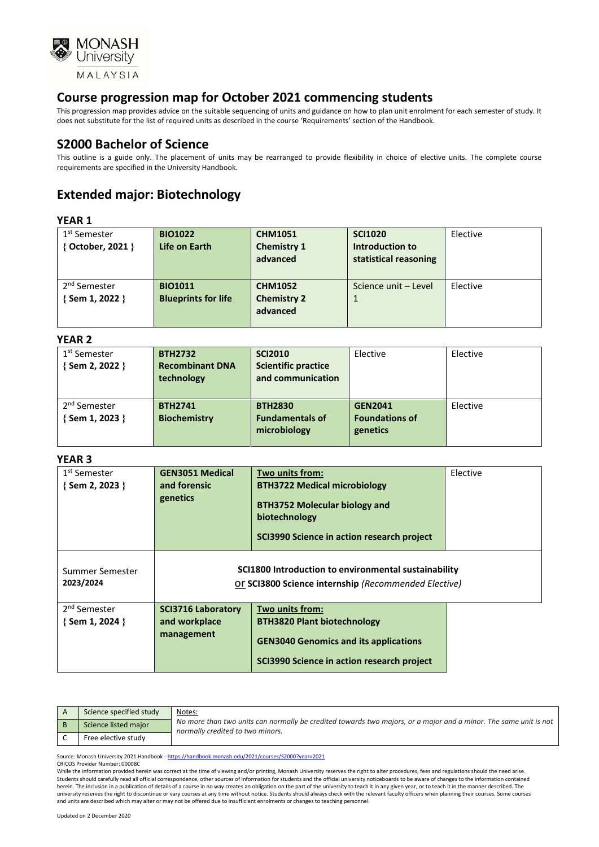

This progression map provides advice on the suitable sequencing of units and guidance on how to plan unit enrolment for each semester of study. It does not substitute for the list of required units as described in the course 'Requirements' section of the Handbook.

### **S2000 Bachelor of Science**

This outline is a guide only. The placement of units may be rearranged to provide flexibility in choice of elective units. The complete course requirements are specified in the University Handbook.

## **Extended major: Biotechnology**

#### **YEAR 1**

| 1 <sup>st</sup> Semester | <b>BIO1022</b>             | <b>CHM1051</b>     | <b>SCI1020</b>        | Elective |
|--------------------------|----------------------------|--------------------|-----------------------|----------|
| { October, 2021 }        | Life on Earth              | <b>Chemistry 1</b> | Introduction to       |          |
|                          |                            | advanced           | statistical reasoning |          |
|                          |                            |                    |                       |          |
| 2 <sup>nd</sup> Semester | <b>BIO1011</b>             | <b>CHM1052</b>     | Science unit - Level  | Elective |
| {Sem 1, 2022 }           | <b>Blueprints for life</b> | <b>Chemistry 2</b> | 1                     |          |
|                          |                            | advanced           |                       |          |
|                          |                            |                    |                       |          |

#### **YEAR 2**

| .                        |                        |                            |                       |          |
|--------------------------|------------------------|----------------------------|-----------------------|----------|
| 1 <sup>st</sup> Semester | <b>BTH2732</b>         | <b>SCI2010</b>             | Elective              | Elective |
| {Sem 2, 2022 }           | <b>Recombinant DNA</b> | <b>Scientific practice</b> |                       |          |
|                          | technology             | and communication          |                       |          |
|                          |                        |                            |                       |          |
| 2 <sup>nd</sup> Semester | <b>BTH2741</b>         | <b>BTH2830</b>             | <b>GEN2041</b>        | Elective |
| {Sem 1, 2023 }           | <b>Biochemistry</b>    | <b>Fundamentals of</b>     | <b>Foundations of</b> |          |
|                          |                        | microbiology               | genetics              |          |
|                          |                        |                            |                       |          |

#### **YEAR 3**

| 1 <sup>st</sup> Semester<br>{Sem 2, 2023 }        | <b>GEN3051 Medical</b><br>and forensic<br>genetics       | Two units from:<br><b>BTH3722 Medical microbiology</b><br><b>BTH3752 Molecular biology and</b><br>biotechnology<br>SCI3990 Science in action research project | Elective |
|---------------------------------------------------|----------------------------------------------------------|---------------------------------------------------------------------------------------------------------------------------------------------------------------|----------|
| Summer Semester<br>2023/2024                      |                                                          | SCI1800 Introduction to environmental sustainability<br>Or SCI3800 Science internship (Recommended Elective)                                                  |          |
| 2 <sup>nd</sup> Semester<br>$\{$ Sem 1, 2024 $\}$ | <b>SCI3716 Laboratory</b><br>and workplace<br>management | Two units from:<br><b>BTH3820 Plant biotechnology</b><br><b>GEN3040 Genomics and its applications</b><br>SCI3990 Science in action research project           |          |

| Science specified study | Notes:                                                                                                                                               |
|-------------------------|------------------------------------------------------------------------------------------------------------------------------------------------------|
| Science listed major    | No more than two units can normally be credited towards two majors, or a major and a minor. The same unit is not<br>normally credited to two minors. |
| Free elective study     |                                                                                                                                                      |

Source: Monash University 2021 Handbook - <https://handbook.monash.edu/2021/courses/S2000?year=2021>

CRICOS Provider Number: 00008C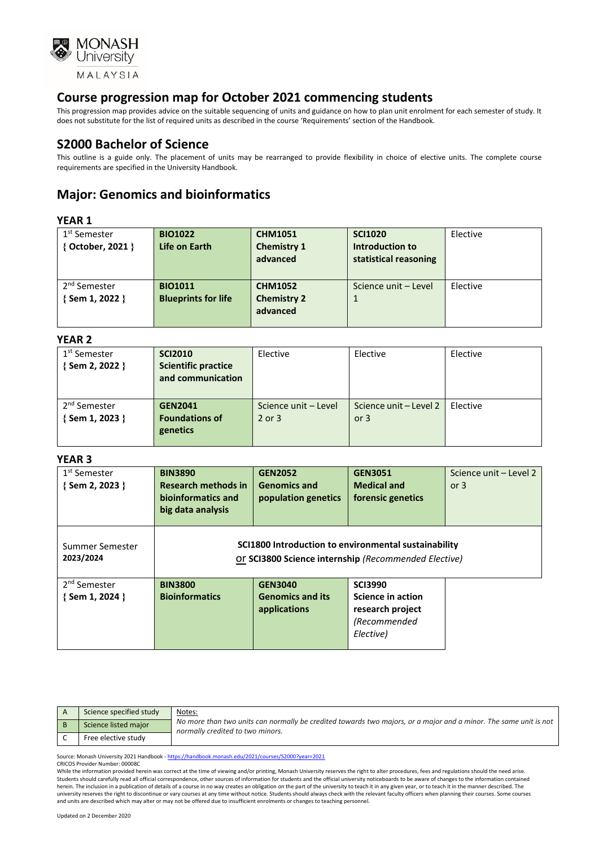

This progression map provides advice on the suitable sequencing of units and guidance on how to plan unit enrolment for each semester of study. It does not substitute for the list of required units as described in the course 'Requirements' section of the Handbook.

### **S2000 Bachelor of Science**

This outline is a guide only. The placement of units may be rearranged to provide flexibility in choice of elective units. The complete course requirements are specified in the University Handbook.

## **Major: Genomics and bioinformatics**

#### **YEAR 1**

| .                        |                            |                    |                       |          |
|--------------------------|----------------------------|--------------------|-----------------------|----------|
| 1 <sup>st</sup> Semester | <b>BIO1022</b>             | <b>CHM1051</b>     | <b>SCI1020</b>        | Elective |
| { October, 2021 }        | Life on Earth              | <b>Chemistry 1</b> | Introduction to       |          |
|                          |                            | advanced           | statistical reasoning |          |
|                          |                            |                    |                       |          |
| 2 <sup>nd</sup> Semester | <b>BIO1011</b>             | <b>CHM1052</b>     | Science unit - Level  | Elective |
| {Sem 1, 2022 }           | <b>Blueprints for life</b> | <b>Chemistry 2</b> | $\mathbf{1}$          |          |
|                          |                            | advanced           |                       |          |
|                          |                            |                    |                       |          |

#### **YEAR 2**

| .                        |                            |                      |                        |          |
|--------------------------|----------------------------|----------------------|------------------------|----------|
| 1 <sup>st</sup> Semester | <b>SCI2010</b>             | Elective             | Elective               | Elective |
| { Sem 2, 2022 }          | <b>Scientific practice</b> |                      |                        |          |
|                          | and communication          |                      |                        |          |
|                          |                            |                      |                        |          |
| 2 <sup>nd</sup> Semester | <b>GEN2041</b>             | Science unit - Level | Science unit – Level 2 | Elective |
| { Sem 1, 2023 }          | <b>Foundations of</b>      | 2 or 3               | or $3$                 |          |
|                          | genetics                   |                      |                        |          |
|                          |                            |                      |                        |          |

#### **YEAR 3**

| 1 <sup>st</sup> Semester<br>{Sem 2, 2023 }        | <b>BIN3890</b><br><b>Research methods in</b><br>bioinformatics and<br>big data analysis                      | <b>GEN2052</b><br><b>Genomics and</b><br>population genetics | <b>GEN3051</b><br><b>Medical and</b><br>forensic genetics                            | Science unit - Level 2<br>or $3$ |
|---------------------------------------------------|--------------------------------------------------------------------------------------------------------------|--------------------------------------------------------------|--------------------------------------------------------------------------------------|----------------------------------|
| Summer Semester<br>2023/2024                      | SCI1800 Introduction to environmental sustainability<br>Or SCI3800 Science internship (Recommended Elective) |                                                              |                                                                                      |                                  |
| 2 <sup>nd</sup> Semester<br>$\{$ Sem 1, 2024 $\}$ | <b>BIN3800</b><br><b>Bioinformatics</b>                                                                      | <b>GEN3040</b><br><b>Genomics and its</b><br>applications    | <b>SCI3990</b><br>Science in action<br>research project<br>(Recommended<br>Elective) |                                  |

| Science specified study | Notes:                                                                                                                                               |
|-------------------------|------------------------------------------------------------------------------------------------------------------------------------------------------|
| Science listed major    | No more than two units can normally be credited towards two majors, or a major and a minor. The same unit is not<br>normally credited to two minors. |
| Free elective study     |                                                                                                                                                      |

Source: Monash University 2021 Handbook - <https://handbook.monash.edu/2021/courses/S2000?year=2021>

#### CRICOS Provider Number: 00008C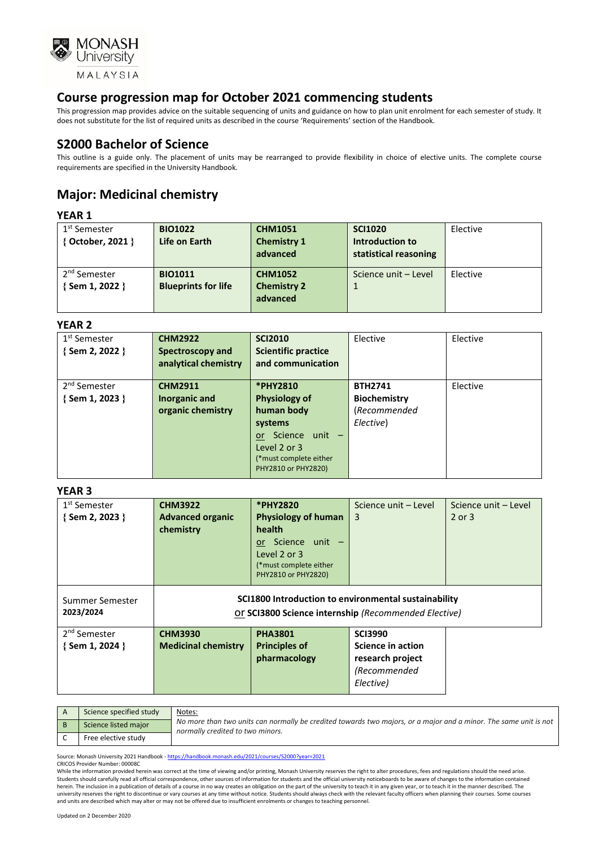

This progression map provides advice on the suitable sequencing of units and guidance on how to plan unit enrolment for each semester of study. It does not substitute for the list of required units as described in the course 'Requirements' section of the Handbook.

### **S2000 Bachelor of Science**

This outline is a guide only. The placement of units may be rearranged to provide flexibility in choice of elective units. The complete course requirements are specified in the University Handbook.

# **Major: Medicinal chemistry**

### **YEAR 1**

| 1 <sup>st</sup> Semester<br>{ October, 2021 } | <b>BIO1022</b><br>Life on Earth | <b>CHM1051</b><br><b>Chemistry 1</b><br>advanced | <b>SCI1020</b><br>Introduction to<br>statistical reasoning | Elective |
|-----------------------------------------------|---------------------------------|--------------------------------------------------|------------------------------------------------------------|----------|
| 2 <sup>nd</sup> Semester                      | <b>BIO1011</b>                  | <b>CHM1052</b>                                   | Science unit - Level                                       | Elective |
| {Sem 1, 2022 }                                | <b>Blueprints for life</b>      | <b>Chemistry 2</b><br>advanced                   |                                                            |          |

#### **YEAR 2**

| 1 <sup>st</sup> Semester | <b>CHM2922</b>       | <b>SCI2010</b>             | Elective            | Elective |
|--------------------------|----------------------|----------------------------|---------------------|----------|
| {Sem 2, 2022 }           | Spectroscopy and     | <b>Scientific practice</b> |                     |          |
|                          | analytical chemistry | and communication          |                     |          |
|                          |                      |                            |                     |          |
| 2 <sup>nd</sup> Semester | <b>CHM2911</b>       | <b>*PHY2810</b>            | <b>BTH2741</b>      | Elective |
| {Sem 1, 2023 }           | Inorganic and        | <b>Physiology of</b>       | <b>Biochemistry</b> |          |
|                          | organic chemistry    | human body                 | (Recommended        |          |
|                          |                      | systems                    | Elective)           |          |
|                          |                      | Science unit -<br>or -     |                     |          |
|                          |                      | Level 2 or 3               |                     |          |
|                          |                      | (*must complete either     |                     |          |
|                          |                      | PHY2810 or PHY2820)        |                     |          |

#### **YEAR 3**

| 1 <sup>st</sup> Semester     | <b>CHM3922</b>                                                                                               | *PHY2820                   | Science unit - Level | Science unit - Level |
|------------------------------|--------------------------------------------------------------------------------------------------------------|----------------------------|----------------------|----------------------|
| $\{$ Sem 2, 2023 $\}$        | <b>Advanced organic</b>                                                                                      | <b>Physiology of human</b> | 3                    | 2 or 3               |
|                              | chemistry                                                                                                    | health                     |                      |                      |
|                              |                                                                                                              | or Science unit -          |                      |                      |
|                              |                                                                                                              | Level 2 or 3               |                      |                      |
|                              |                                                                                                              | (*must complete either     |                      |                      |
|                              |                                                                                                              | PHY2810 or PHY2820)        |                      |                      |
| Summer Semester<br>2023/2024 | SCI1800 Introduction to environmental sustainability<br>Or SCI3800 Science internship (Recommended Elective) |                            |                      |                      |
| 2 <sup>nd</sup> Semester     | <b>CHM3930</b>                                                                                               | <b>PHA3801</b>             | <b>SCI3990</b>       |                      |
| $\{$ Sem 1, 2024 $\}$        | <b>Medicinal chemistry</b>                                                                                   | <b>Principles of</b>       | Science in action    |                      |
|                              |                                                                                                              | pharmacology               | research project     |                      |
|                              |                                                                                                              |                            | (Recommended         |                      |
|                              |                                                                                                              |                            | Elective)            |                      |
|                              |                                                                                                              |                            |                      |                      |

| Science specified study | Notes:                                                                                                                                               |
|-------------------------|------------------------------------------------------------------------------------------------------------------------------------------------------|
| Science listed major    | No more than two units can normally be credited towards two majors, or a major and a minor. The same unit is not<br>normally credited to two minors. |
| Free elective study     |                                                                                                                                                      |

Source: Monash University 2021 Handbook - <https://handbook.monash.edu/2021/courses/S2000?year=2021>

CRICOS Provider Number: 00008C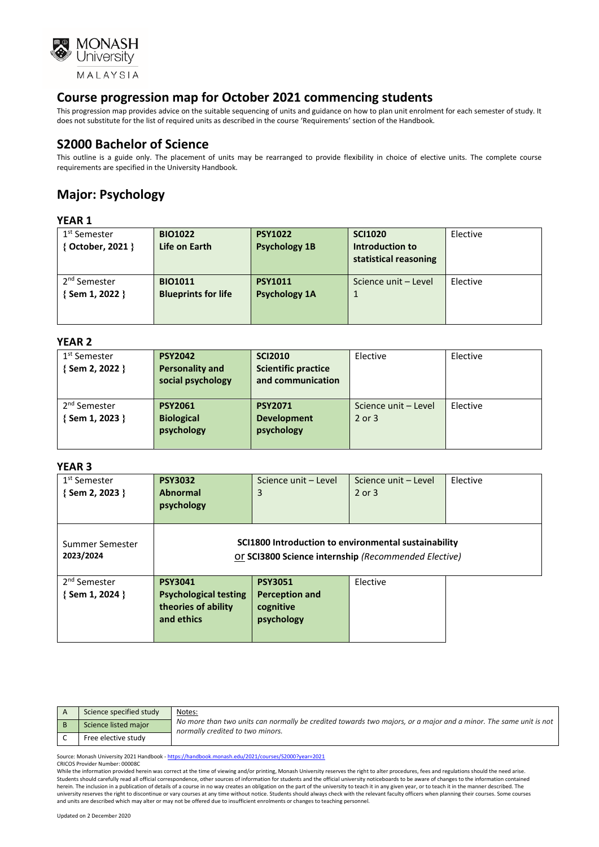

This progression map provides advice on the suitable sequencing of units and guidance on how to plan unit enrolment for each semester of study. It does not substitute for the list of required units as described in the course 'Requirements' section of the Handbook.

### **S2000 Bachelor of Science**

This outline is a guide only. The placement of units may be rearranged to provide flexibility in choice of elective units. The complete course requirements are specified in the University Handbook.

# **Major: Psychology**

#### **YEAR 1**

| <b>BIO1022</b>             | <b>PSY1022</b>       | <b>SCI1020</b>        | Elective |
|----------------------------|----------------------|-----------------------|----------|
| Life on Earth              | <b>Psychology 1B</b> | Introduction to       |          |
|                            |                      | statistical reasoning |          |
|                            |                      |                       |          |
| <b>BIO1011</b>             | <b>PSY1011</b>       | Science unit - Level  | Elective |
| <b>Blueprints for life</b> | <b>Psychology 1A</b> | 1                     |          |
|                            |                      |                       |          |
|                            |                      |                       |          |
|                            |                      |                       |          |

#### **YEAR 2**

| 1 <sup>st</sup> Semester | <b>PSY2042</b>         | <b>SCI2010</b>             | Elective             | Elective |
|--------------------------|------------------------|----------------------------|----------------------|----------|
| {Sem 2, 2022 }           | <b>Personality and</b> | <b>Scientific practice</b> |                      |          |
|                          | social psychology      | and communication          |                      |          |
|                          |                        |                            |                      |          |
| 2 <sup>nd</sup> Semester | <b>PSY2061</b>         | <b>PSY2071</b>             | Science unit - Level | Elective |
| {Sem 1, 2023 }           | <b>Biological</b>      | <b>Development</b>         | $2$ or $3$           |          |
|                          | psychology             | psychology                 |                      |          |
|                          |                        |                            |                      |          |
|                          |                        |                            |                      |          |

#### **YEAR 3**

| 1 <sup>st</sup> Semester | <b>PSY3032</b>               | Science unit - Level                                 | Science unit - Level | Elective |  |
|--------------------------|------------------------------|------------------------------------------------------|----------------------|----------|--|
| { Sem 2, 2023 }          | <b>Abnormal</b>              | 3                                                    | $2$ or $3$           |          |  |
|                          |                              |                                                      |                      |          |  |
|                          | psychology                   |                                                      |                      |          |  |
|                          |                              |                                                      |                      |          |  |
|                          |                              |                                                      |                      |          |  |
| Summer Semester          |                              | SCI1800 Introduction to environmental sustainability |                      |          |  |
| 2023/2024                |                              | Or SCI3800 Science internship (Recommended Elective) |                      |          |  |
|                          |                              |                                                      |                      |          |  |
| 2 <sup>nd</sup> Semester | <b>PSY3041</b>               | <b>PSY3051</b>                                       | Elective             |          |  |
| {Sem 1, 2024 }           | <b>Psychological testing</b> | <b>Perception and</b>                                |                      |          |  |
|                          | theories of ability          | cognitive                                            |                      |          |  |
|                          | and ethics                   | psychology                                           |                      |          |  |
|                          |                              |                                                      |                      |          |  |
|                          |                              |                                                      |                      |          |  |

| Science specified study | Notes:                                                                                                                                               |
|-------------------------|------------------------------------------------------------------------------------------------------------------------------------------------------|
| Science listed major    | No more than two units can normally be credited towards two majors, or a major and a minor. The same unit is not<br>normally credited to two minors. |
| Free elective study     |                                                                                                                                                      |

Source: Monash University 2021 Handbook - <https://handbook.monash.edu/2021/courses/S2000?year=2021>

CRICOS Provider Number: 00008C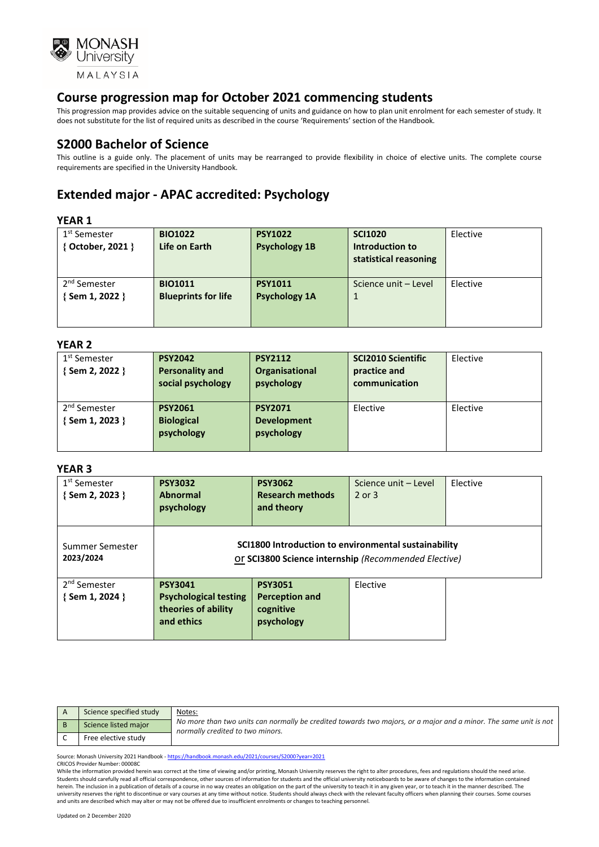

This progression map provides advice on the suitable sequencing of units and guidance on how to plan unit enrolment for each semester of study. It does not substitute for the list of required units as described in the course 'Requirements' section of the Handbook.

### **S2000 Bachelor of Science**

This outline is a guide only. The placement of units may be rearranged to provide flexibility in choice of elective units. The complete course requirements are specified in the University Handbook.

## **Extended major - APAC accredited: Psychology**

### **YEAR 1**

| .                        |                            |                      |                       |          |
|--------------------------|----------------------------|----------------------|-----------------------|----------|
| 1 <sup>st</sup> Semester | <b>BIO1022</b>             | <b>PSY1022</b>       | <b>SCI1020</b>        | Elective |
| { October, 2021 }        | Life on Earth              | <b>Psychology 1B</b> | Introduction to       |          |
|                          |                            |                      | statistical reasoning |          |
|                          |                            |                      |                       |          |
| 2 <sup>nd</sup> Semester | <b>BIO1011</b>             | <b>PSY1011</b>       | Science unit - Level  | Elective |
| Sem 1, 2022 }            | <b>Blueprints for life</b> | <b>Psychology 1A</b> |                       |          |
|                          |                            |                      |                       |          |
|                          |                            |                      |                       |          |

#### **YEAR 2**

| 1 <sup>st</sup> Semester | <b>PSY2042</b>         | <b>PSY2112</b>     | <b>SCI2010 Scientific</b> | Elective |
|--------------------------|------------------------|--------------------|---------------------------|----------|
| { Sem 2, 2022 }          | <b>Personality and</b> | Organisational     | practice and              |          |
|                          | social psychology      | psychology         | communication             |          |
|                          |                        |                    |                           |          |
| 2 <sup>nd</sup> Semester | <b>PSY2061</b>         | <b>PSY2071</b>     | Elective                  | Elective |
| Sem 1, 2023 }            | <b>Biological</b>      | <b>Development</b> |                           |          |
|                          | psychology             | psychology         |                           |          |
|                          |                        |                    |                           |          |

#### **YEAR 3**

| 1 <sup>st</sup> Semester<br>{Sem 2, 2023 }  | <b>PSY3032</b><br><b>Abnormal</b><br>psychology                                     | <b>PSY3062</b><br><b>Research methods</b><br>and theory                                                      | Science unit - Level<br>$2$ or $3$ | Elective |
|---------------------------------------------|-------------------------------------------------------------------------------------|--------------------------------------------------------------------------------------------------------------|------------------------------------|----------|
| Summer Semester<br>2023/2024                |                                                                                     | SCI1800 Introduction to environmental sustainability<br>Or SCI3800 Science internship (Recommended Elective) |                                    |          |
| 2 <sup>nd</sup> Semester<br>{ Sem 1, 2024 } | <b>PSY3041</b><br><b>Psychological testing</b><br>theories of ability<br>and ethics | <b>PSY3051</b><br><b>Perception and</b><br>cognitive<br>psychology                                           | Elective                           |          |

| Science specified study | Notes:                                                                                                                                               |
|-------------------------|------------------------------------------------------------------------------------------------------------------------------------------------------|
| Science listed major    | No more than two units can normally be credited towards two majors, or a major and a minor. The same unit is not<br>normally credited to two minors. |
| Free elective study     |                                                                                                                                                      |

Source: Monash University 2021 Handbook - <https://handbook.monash.edu/2021/courses/S2000?year=2021>

CRICOS Provider Number: 00008C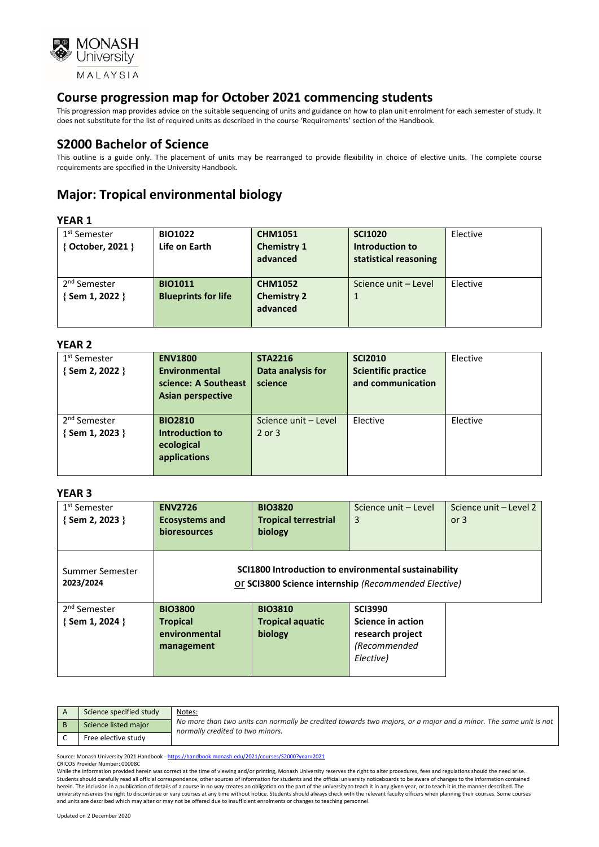

This progression map provides advice on the suitable sequencing of units and guidance on how to plan unit enrolment for each semester of study. It does not substitute for the list of required units as described in the course 'Requirements' section of the Handbook.

### **S2000 Bachelor of Science**

This outline is a guide only. The placement of units may be rearranged to provide flexibility in choice of elective units. The complete course requirements are specified in the University Handbook.

## **Major: Tropical environmental biology**

#### **YEAR 1**

| 1 <sup>st</sup> Semester | <b>BIO1022</b>             | <b>CHM1051</b>     | <b>SCI1020</b>        | Elective |
|--------------------------|----------------------------|--------------------|-----------------------|----------|
| { October, 2021 }        | Life on Earth              | <b>Chemistry 1</b> | Introduction to       |          |
|                          |                            | advanced           | statistical reasoning |          |
|                          |                            |                    |                       |          |
| 2 <sup>nd</sup> Semester | <b>BIO1011</b>             | <b>CHM1052</b>     | Science unit - Level  | Elective |
| {Sem 1, 2022 }           | <b>Blueprints for life</b> | <b>Chemistry 2</b> |                       |          |
|                          |                            | advanced           |                       |          |
|                          |                            |                    |                       |          |
|                          |                            |                    |                       |          |

#### **YEAR 2**

| 1 <sup>st</sup> Semester<br>{Sem 2, 2022 } | <b>ENV1800</b><br><b>Environmental</b><br>science: A Southeast<br><b>Asian perspective</b> | <b>STA2216</b><br>Data analysis for<br>science | <b>SCI2010</b><br><b>Scientific practice</b><br>and communication | Elective |
|--------------------------------------------|--------------------------------------------------------------------------------------------|------------------------------------------------|-------------------------------------------------------------------|----------|
| 2 <sup>nd</sup> Semester<br>Sem 1, 2023 }  | <b>BIO2810</b><br><b>Introduction to</b><br>ecological<br>applications                     | Science unit - Level<br>$2$ or $3$             | Elective                                                          | Elective |

#### **YEAR 3**

| 1 <sup>st</sup> Semester<br>{Sem 2, 2023 } | <b>ENV2726</b><br><b>Ecosystems and</b><br>bioresources | <b>BIO3820</b><br><b>Tropical terrestrial</b><br>biology                                                     | Science unit - Level<br>3 | Science unit - Level 2<br>or $3$ |
|--------------------------------------------|---------------------------------------------------------|--------------------------------------------------------------------------------------------------------------|---------------------------|----------------------------------|
| Summer Semester<br>2023/2024               |                                                         | SCI1800 Introduction to environmental sustainability<br>Or SCI3800 Science internship (Recommended Elective) |                           |                                  |
| 2 <sup>nd</sup> Semester                   | <b>BIO3800</b>                                          | <b>BIO3810</b>                                                                                               | <b>SCI3990</b>            |                                  |
| $\{$ Sem 1, 2024 $\}$                      | <b>Tropical</b>                                         | <b>Tropical aquatic</b>                                                                                      | Science in action         |                                  |
|                                            | environmental                                           | biology                                                                                                      | research project          |                                  |
|                                            | management                                              |                                                                                                              | (Recommended              |                                  |
|                                            |                                                         |                                                                                                              |                           |                                  |
|                                            |                                                         |                                                                                                              | Elective)                 |                                  |

| Science specified study | Notes:<br>No more than two units can normally be credited towards two majors, or a major and a minor. The same unit is not<br>normally credited to two minors. |
|-------------------------|----------------------------------------------------------------------------------------------------------------------------------------------------------------|
| Science listed major    |                                                                                                                                                                |
| Free elective study     |                                                                                                                                                                |

Source: Monash University 2021 Handbook - <https://handbook.monash.edu/2021/courses/S2000?year=2021>

CRICOS Provider Number: 00008C